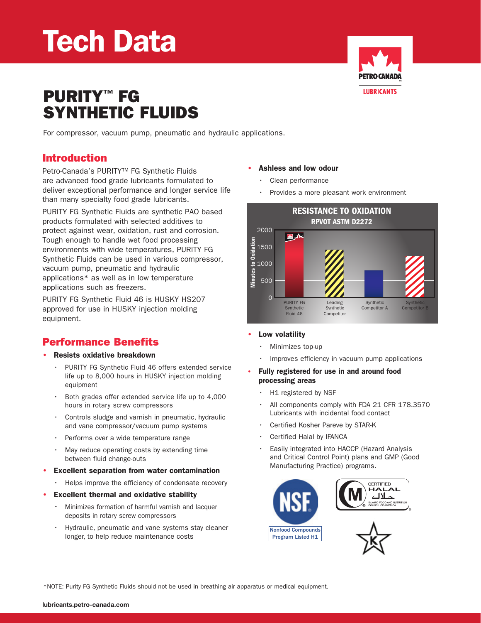## Tech Data



# PURITY™ FG<br>SYNTHETIC FLUIDS

For compressor, vacuum pump, pneumatic and hydraulic applications.

### Introduction

Petro-Canada's PURITY™ FG Synthetic Fluids are advanced food grade lubricants formulated to deliver exceptional performance and longer service life than many specialty food grade lubricants.

PURITY FG Synthetic Fluids are synthetic PAO based products formulated with selected additives to protect against wear, oxidation, rust and corrosion. Tough enough to handle wet food processing environments with wide temperatures, PURITY FG Synthetic Fluids can be used in various compressor, vacuum pump, pneumatic and hydraulic applications\* as well as in low temperature applications such as freezers.

PURITY FG Synthetic Fluid 46 is HUSKY HS207 approved for use in HUSKY injection molding equipment.

## Performance Benefits

#### • Resists oxidative breakdown

- PURITY FG Synthetic Fluid 46 offers extended service life up to 8,000 hours in HUSKY injection molding equipment
- Both grades offer extended service life up to 4,000 hours in rotary screw compressors
- $\cdot$  Controls sludge and varnish in pneumatic, hydraulic and vane compressor/vacuum pump systems
- Performs over a wide temperature range
- • May reduce operating costs by extending time between fluid change-outs
- Excellent separation from water contamination
	- Helps improve the efficiency of condensate recovery
- Excellent thermal and oxidative stability
	- Minimizes formation of harmful varnish and lacquer deposits in rotary screw compressors
	- Hydraulic, pneumatic and vane systems stay cleaner longer, to help reduce maintenance costs

#### • Ashless and low odour

- • Clean performance
- Provides a more pleasant work environment



- Low volatility
	- Minimizes top-up
	- Improves efficiency in vacuum pump applications
- Fully registered for use in and around food processing areas
	- H1 registered by NSF
	- • All components comply with FDA 21 CFR 178.3570 Lubricants with incidental food contact
	- Certified Kosher Pareve by STAR-K
	- • Certified Halal by IFANCA
	- Easily integrated into HACCP (Hazard Analysis and Critical Control Point) plans and GMP (Good Manufacturing Practice) programs.



\*NOTE: Purity FG Synthetic Fluids should not be used in breathing air apparatus or medical equipment.